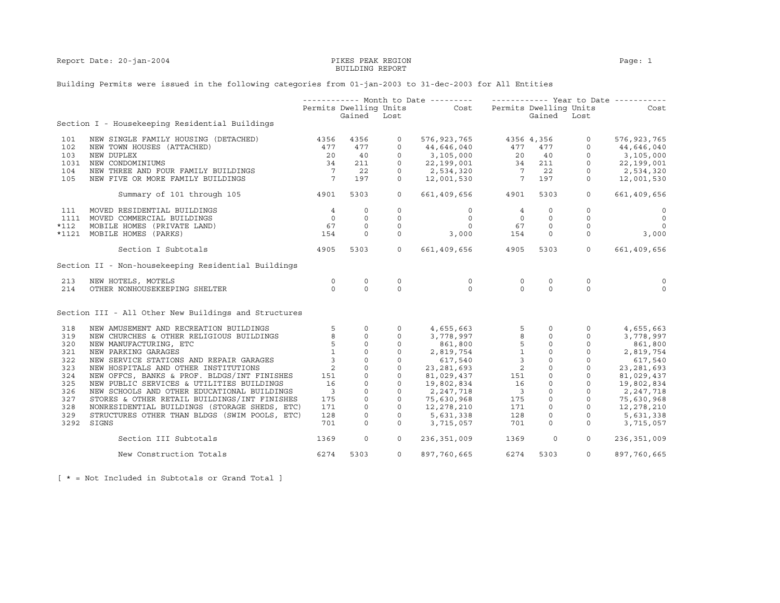Report Date: 20-jan-2004 PIKES PEAK REGION Page: 1

## BUILDING REPORT

## Building Permits were issued in the following categories from 01-jan-2003 to 31-dec-2003 for All Entities

|        |                                                      |                         |                        |              | ------------ Month to Date --------- ------------- Year to Date ----------- |                                                                    |             |                                                                                                                              |                          |
|--------|------------------------------------------------------|-------------------------|------------------------|--------------|-----------------------------------------------------------------------------|--------------------------------------------------------------------|-------------|------------------------------------------------------------------------------------------------------------------------------|--------------------------|
|        |                                                      |                         | Permits Dwelling Units |              | Cost Permits Dwelling Units                                                 |                                                                    |             |                                                                                                                              | Cost                     |
|        |                                                      |                         | Gained Lost            |              |                                                                             |                                                                    | Gained Lost |                                                                                                                              |                          |
|        | Section I - Housekeeping Residential Buildings       |                         |                        |              |                                                                             |                                                                    |             |                                                                                                                              |                          |
| 101    | NEW SINGLE FAMILY HOUSING (DETACHED)                 | 4356                    | 4356                   | 0            | 576,923,765                                                                 |                                                                    | 4356 4,356  | $\overline{0}$                                                                                                               | 576, 923, 765            |
| 102    | NEW TOWN HOUSES (ATTACHED)                           | 477                     | 477                    | $\circ$      | 44,646,040                                                                  | $\begin{array}{rrrr} 477 & 477 \\ 20 & 40 \\ 34 & 211 \end{array}$ |             | $\Omega$                                                                                                                     | 44,646,040               |
| 103    | NEW DUPLEX                                           | 20                      | 40                     | $\mathbf 0$  | 3,105,000                                                                   |                                                                    |             | $\circ$                                                                                                                      | 3,105,000                |
| 1031   | NEW CONDOMINIUMS                                     | 34                      | 211                    | $\circ$      | 22,199,001                                                                  |                                                                    |             | $\circ$                                                                                                                      | 22,199,001               |
| 104    | NEW THREE AND FOUR FAMILY BUILDINGS                  | $\overline{7}$          | 22                     | $\circ$      | 2,534,320                                                                   |                                                                    | $7$ 22      | $\circ$                                                                                                                      | 2,534,320                |
| 105    | NEW FIVE OR MORE FAMILY BUILDINGS                    | $\overline{7}$          | 197                    | $\Omega$     | 12,001,530                                                                  | $\frac{7}{7}$                                                      | 197         | $\circ$                                                                                                                      | 12,001,530               |
|        |                                                      |                         |                        |              |                                                                             |                                                                    |             |                                                                                                                              |                          |
|        | Summary of 101 through 105                           | 4901                    | 5303                   | $\circ$      | 661,409,656 4901                                                            |                                                                    | 5303        | $\circ$                                                                                                                      | 661,409,656              |
| 111    | MOVED RESIDENTIAL BUILDINGS                          | $\overline{4}$          | $\circ$                | $\circ$      | $\circ$                                                                     | $\overline{4}$                                                     | $\circ$     | $\circ$                                                                                                                      | $\circ$                  |
|        | 1111 MOVED COMMERCIAL BUILDINGS                      | $\overline{0}$          | $\circ$                | 0            | $\circ$                                                                     | $\overline{0}$                                                     | $\circ$     | $\mathbf 0$                                                                                                                  | $\overline{0}$           |
| $*112$ | MOBILE HOMES (PRIVATE LAND)                          | 67                      | $\circ$                | $\circ$      | $\Omega$                                                                    | 67                                                                 | $\circ$     | $\circ$                                                                                                                      | $\overline{\phantom{0}}$ |
| *1121  | MOBILE HOMES (PARKS)                                 | 154                     | $\circ$                | $\mathbf 0$  | 3,000                                                                       | 154                                                                | $\circ$     | $\circ$                                                                                                                      | 3,000                    |
|        | Section I Subtotals                                  | 4905                    | 5303                   | $\circ$      | 661,409,656                                                                 | 4905                                                               | 5303        | $\overline{0}$                                                                                                               | 661,409,656              |
|        | Section II - Non-housekeeping Residential Buildings  |                         |                        |              |                                                                             |                                                                    |             |                                                                                                                              |                          |
| 213    | NEW HOTELS, MOTELS                                   | $\circ$                 | $\circ$                | $\mathbf 0$  | $\mathsf{O}$                                                                | $\circ$                                                            | 0           | $\mathbf 0$                                                                                                                  | $\mathbf 0$              |
| 214    | OTHER NONHOUSEKEEPING SHELTER                        | $\Omega$                | $\Omega$               | $\Omega$     | $\Omega$                                                                    | $\Omega$                                                           | $\Omega$    | $\Omega$                                                                                                                     | $\Omega$                 |
|        | Section III - All Other New Buildings and Structures |                         |                        |              |                                                                             |                                                                    |             |                                                                                                                              |                          |
| 318    | NEW AMUSEMENT AND RECREATION BUILDINGS               | 5                       | $\circ$                | $\circ$      | 4,655,663                                                                   | 5                                                                  | $\circ$     | $\circ$                                                                                                                      | 4,655,663                |
| 319    | NEW CHURCHES & OTHER RELIGIOUS BUILDINGS             | 8                       | $\circ$                | $\circ$      | 3,778,997                                                                   | 8                                                                  | $\circ$     | $\circ$                                                                                                                      | 3,778,997                |
| 320    | NEW MANUFACTURING, ETC                               | 5                       | $\mathbb O$            | $\mathsf{O}$ | 861,800                                                                     | $5\phantom{.0}$                                                    |             | $\begin{array}{ccc} & \circ & \circ \\ & \circ & \circ \\ & \circ & \circ \\ & \circ & \circ \\ & \circ & \circ \end{array}$ | 861,800                  |
| 321    | NEW PARKING GARAGES                                  | 1                       | $\circ$                | $\circ$      | 2,819,754                                                                   | $\mathbf{1}$                                                       |             |                                                                                                                              | 2,819,754                |
| 322    | NEW SERVICE STATIONS AND REPAIR GARAGES              | $\overline{3}$          | $\circ$                | $\mathbf 0$  | 617,540                                                                     | $\overline{\mathbf{3}}$                                            |             |                                                                                                                              | 617,540                  |
| 323    | NEW HOSPITALS AND OTHER INSTITUTIONS                 | 2                       | $\mathbf 0$            | $\circ$      | 23, 281, 693                                                                | 2                                                                  |             |                                                                                                                              | 23, 281, 693             |
| 324    | NEW OFFCS, BANKS & PROF. BLDGS/INT FINISHES          | 151                     | $\circ$                | $\circ$      | 81,029,437                                                                  | 151                                                                |             |                                                                                                                              | 81,029,437               |
| 325    | NEW PUBLIC SERVICES & UTILITIES BUILDINGS            | 16                      | 0                      | $\circ$      | 19,802,834                                                                  | 16                                                                 | $\circ$     | $\circ$                                                                                                                      | 19,802,834               |
| 326    | NEW SCHOOLS AND OTHER EDUCATIONAL BUILDINGS          | $\overline{\mathbf{3}}$ | $\circ$                | $\mathbf 0$  | 2,247,718                                                                   | $\overline{\phantom{a}}$                                           | $\circ$     | $\overline{0}$                                                                                                               | 2,247,718                |
| 327    | STORES & OTHER RETAIL BUILDINGS/INT FINISHES         | 175                     | $\Omega$               | $\circ$      | 75,630,968                                                                  | 175                                                                | $\circ$     | $\circ$                                                                                                                      | 75,630,968               |
| 328    | NONRESIDENTIAL BUILDINGS (STORAGE SHEDS, ETC)        | 171                     | $\circ$                | $\circ$      | 12,278,210                                                                  | 171                                                                | $\circ$     | $\circ$                                                                                                                      | 12,278,210               |
| 329    | STRUCTURES OTHER THAN BLDGS (SWIM POOLS, ETC)        | 128                     | 0                      | $\circ$      | 5,631,338                                                                   | 128                                                                | $\circ$     | $\circ$                                                                                                                      | 5,631,338                |
|        | 3292 SIGNS                                           | 701                     | $\Omega$               | $\Omega$     |                                                                             | 701                                                                | $\Omega$    | $\Omega$                                                                                                                     | 3,715,057                |
|        |                                                      |                         |                        |              | 3,715,057                                                                   |                                                                    |             |                                                                                                                              |                          |
|        | Section III Subtotals                                | 1369                    | $\circ$                | $\circ$      | 236,351,009                                                                 | 1369                                                               | $\circ$     | $\circ$                                                                                                                      | 236,351,009              |
|        | New Construction Totals                              | 6274                    | 5303                   | $\circ$      | 897,760,665                                                                 | 6274                                                               | 5303        | $\circ$                                                                                                                      | 897,760,665              |

[ \* = Not Included in Subtotals or Grand Total ]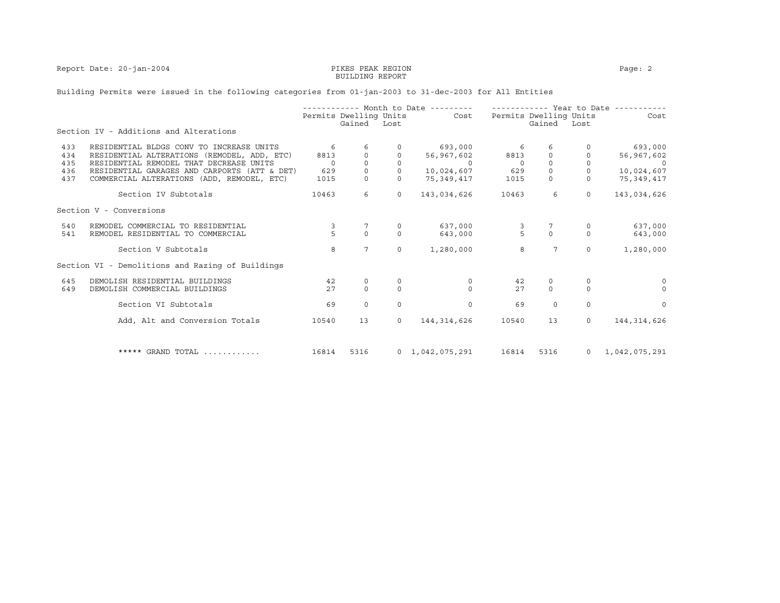Report Date: 20-jan-2004 **PIKES PEAK REGION** PAGE: 2

# BUILDING REPORT

## Building Permits were issued in the following categories from 01-jan-2003 to 31-dec-2003 for All Entities

|     |                                                  |          |                        |          | ----------- Month to Date --------- |               |                        | ----------- Year to Date ---- |               |
|-----|--------------------------------------------------|----------|------------------------|----------|-------------------------------------|---------------|------------------------|-------------------------------|---------------|
|     |                                                  |          | Permits Dwelling Units |          | Cost                                |               | Permits Dwelling Units |                               | Cost          |
|     | Section IV - Additions and Alterations           |          | Gained                 | Lost     |                                     |               | Gained                 | Lost                          |               |
| 433 | RESIDENTIAL BLDGS CONV TO INCREASE UNITS         | 6        |                        |          | 693,000                             | 6             | 6                      |                               | 693,000       |
| 434 | RESIDENTIAL ALTERATIONS (REMODEL, ADD, ETC)      | 8813     |                        |          | 56,967,602                          | 8813          | $\circ$                |                               | 56,967,602    |
| 435 | RESIDENTIAL REMODEL THAT DECREASE UNITS          | $\Omega$ | $\Omega$               | $\Omega$ | $\Omega$                            | $\Omega$      | $\Omega$               | $\Omega$                      |               |
| 436 | RESIDENTIAL GARAGES AND CARPORTS (ATT & DET)     | 629      | $\circ$                |          | 10,024,607                          | 629           | $\circ$                |                               | 10,024,607    |
| 437 | COMMERCIAL ALTERATIONS (ADD, REMODEL, ETC)       | 1015     | $\circ$                |          | 75,349,417                          | 1015          | $\circ$                | $\circ$                       | 75,349,417    |
|     | Section IV Subtotals                             | 10463    | 6                      | $\circ$  | 143,034,626                         | 10463         | 6                      | $\Omega$                      | 143,034,626   |
|     | Section V - Conversions                          |          |                        |          |                                     |               |                        |                               |               |
| 540 | REMODEL COMMERCIAL TO RESIDENTIAL                | 3        |                        |          | 637,000                             |               |                        | 0                             | 637,000       |
| 541 | REMODEL RESIDENTIAL TO COMMERCIAL                | 5        | $\Omega$               | $\Omega$ | 643,000                             | $\frac{3}{5}$ | $\Omega$               | $\Omega$                      | 643,000       |
|     |                                                  |          |                        |          |                                     |               |                        |                               |               |
|     | Section V Subtotals                              | 8        | 7                      | $\Omega$ | 1,280,000                           | 8             | $7\phantom{.0}$        | $\Omega$                      | 1,280,000     |
|     | Section VI - Demolitions and Razing of Buildings |          |                        |          |                                     |               |                        |                               |               |
| 645 | DEMOLISH RESIDENTIAL BUILDINGS                   | 42       | $\mathbf 0$            |          | $\mathbf 0$                         | 42            | 0                      | $\mathbf 0$                   | $\Omega$      |
| 649 | DEMOLISH COMMERCIAL BUILDINGS                    | 27       | $\Omega$               | $\Omega$ | $\Omega$                            | 27            | $\Omega$               | $\Omega$                      | $\Omega$      |
|     | Section VI Subtotals                             | 69       | $\Omega$               | $\Omega$ | $\mathbf 0$                         | 69            | $\Omega$               | $\Omega$                      | $\Omega$      |
|     |                                                  |          |                        |          |                                     |               |                        |                               |               |
|     | Add, Alt and Conversion Totals                   | 10540    | 13                     | $\circ$  | 144, 314, 626                       | 10540         | 13                     | $\Omega$                      | 144, 314, 626 |
|     |                                                  |          |                        |          |                                     |               |                        |                               |               |
|     | ***** GRAND TOTAL                                | 16814    | 5316                   |          | $0 \quad 1,042,075,291$             | 16814         | 5316                   | $\overline{0}$                | 1,042,075,291 |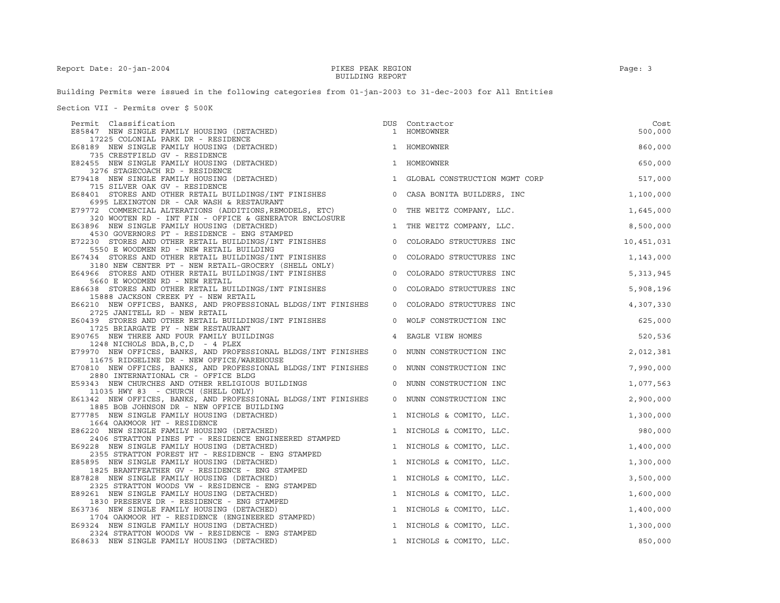Building Permits were issued in the following categories from 01-jan-2003 to 31-dec-2003 for All Entities

Section VII - Permits over \$ 500K

| Permit Classification                                                                                         | DUS     | Contractor                      | Cost        |
|---------------------------------------------------------------------------------------------------------------|---------|---------------------------------|-------------|
| E85847 NEW SINGLE FAMILY HOUSING (DETACHED)                                                                   |         | 1 HOMEOWNER                     | 500,000     |
| 17225 COLONIAL PARK DR - RESIDENCE                                                                            |         |                                 |             |
| E68189 NEW SINGLE FAMILY HOUSING (DETACHED)                                                                   |         | 1 HOMEOWNER                     | 860,000     |
| 735 CRESTFIELD GV - RESIDENCE                                                                                 |         | 1 HOMEOWNER                     |             |
| E82455 NEW SINGLE FAMILY HOUSING (DETACHED)<br>3276 STAGECOACH RD - RESIDENCE                                 |         |                                 | 650,000     |
| E79418 NEW SINGLE FAMILY HOUSING (DETACHED)                                                                   |         | 1 GLOBAL CONSTRUCTION MGMT CORP | 517,000     |
| 715 SILVER OAK GV - RESIDENCE                                                                                 |         |                                 |             |
| E68401 STORES AND OTHER RETAIL BUILDINGS/INT FINISHES                                                         | $\circ$ | CASA BONITA BUILDERS, INC       | 1,100,000   |
| 6995 LEXINGTON DR - CAR WASH & RESTAURANT                                                                     |         |                                 |             |
| E79772 COMMERCIAL ALTERATIONS (ADDITIONS, REMODELS, ETC)                                                      |         | 0 THE WEITZ COMPANY, LLC.       | 1,645,000   |
| 320 WOOTEN RD - INT FIN - OFFICE & GENERATOR ENCLOSURE                                                        |         |                                 |             |
| E63896 NEW SINGLE FAMILY HOUSING (DETACHED)                                                                   |         | 1 THE WEITZ COMPANY, LLC.       | 8,500,000   |
| 4530 GOVERNORS PT - RESIDENCE - ENG STAMPED<br>E72230 STORES AND OTHER RETAIL BUILDINGS/INT FINISHES          |         | 0 COLORADO STRUCTURES INC       | 10,451,031  |
| 5550 E WOODMEN RD - NEW RETAIL BUILDING                                                                       |         |                                 |             |
|                                                                                                               |         | 0 COLORADO STRUCTURES INC       | 1,143,000   |
| E67434 STORES AND OTHER RETAIL BUILDINGS/INT FINISHES<br>3180 NEW CENTER PT - NEW RETAIL-GROCERY (SHELL ONLY) |         |                                 |             |
| E64966 STORES AND OTHER RETAIL BUILDINGS/INT FINISHES                                                         | $\circ$ | COLORADO STRUCTURES INC         | 5, 313, 945 |
| 5660 E WOODMEN RD - NEW RETAIL                                                                                |         |                                 |             |
| E86638 STORES AND OTHER RETAIL BUILDINGS/INT FINISHES                                                         |         | 0 COLORADO STRUCTURES INC       | 5,908,196   |
| 15888 JACKSON CREEK PY - NEW RETAIL                                                                           |         |                                 |             |
| E66210 NEW OFFICES, BANKS, AND PROFESSIONAL BLDGS/INT FINISHES                                                |         | 0 COLORADO STRUCTURES INC       | 4,307,330   |
| 2725 JANITELL RD - NEW RETAIL                                                                                 | $\circ$ | WOLF CONSTRUCTION INC           | 625,000     |
| E60439 STORES AND OTHER RETAIL BUILDINGS/INT FINISHES<br>1725 BRIARGATE PY - NEW RESTAURANT                   |         |                                 |             |
| E90765 NEW THREE AND FOUR FAMILY BUILDINGS                                                                    |         | 4 EAGLE VIEW HOMES              | 520,536     |
| 1248 NICHOLS BDA, B, C, D - 4 PLEX                                                                            |         |                                 |             |
| E79970 NEW OFFICES, BANKS, AND PROFESSIONAL BLDGS/INT FINISHES                                                |         | 0 NUNN CONSTRUCTION INC         | 2,012,381   |
| 11675 RIDGELINE DR - NEW OFFICE/WAREHOUSE                                                                     |         |                                 |             |
| E70810 NEW OFFICES, BANKS, AND PROFESSIONAL BLDGS/INT FINISHES                                                |         | 0 NUNN CONSTRUCTION INC         | 7,990,000   |
| 2880 INTERNATIONAL CR - OFFICE BLDG                                                                           |         |                                 |             |
| E59343 NEW CHURCHES AND OTHER RELIGIOUS BUILDINGS<br>11035 HWY 83 - CHURCH (SHELL ONLY)                       | 0       | NUNN CONSTRUCTION INC           | 1,077,563   |
| E61342 NEW OFFICES, BANKS, AND PROFESSIONAL BLDGS/INT FINISHES                                                | $\circ$ | NUNN CONSTRUCTION INC           | 2,900,000   |
| 1885 BOB JOHNSON DR - NEW OFFICE BUILDING                                                                     |         |                                 |             |
| E77785 NEW SINGLE FAMILY HOUSING (DETACHED)                                                                   |         | 1 NICHOLS & COMITO, LLC.        | 1,300,000   |
| 1664 OAKMOOR HT - RESIDENCE                                                                                   |         |                                 |             |
| E86220 NEW SINGLE FAMILY HOUSING (DETACHED)                                                                   |         | 1 NICHOLS & COMITO, LLC.        | 980,000     |
| 2406 STRATTON PINES PT - RESIDENCE ENGINEERED STAMPED                                                         |         |                                 |             |
| E69228 NEW SINGLE FAMILY HOUSING (DETACHED)                                                                   |         | 1 NICHOLS & COMITO, LLC.        | 1,400,000   |
| 2355 STRATTON FOREST HT - RESIDENCE - ENG STAMPED<br>E85895 NEW SINGLE FAMILY HOUSING (DETACHED)              |         |                                 |             |
| 1825 BRANTFEATHER GV - RESIDENCE - ENG STAMPED                                                                |         | 1 NICHOLS & COMITO, LLC.        | 1,300,000   |
| E87828 NEW SINGLE FAMILY HOUSING (DETACHED)                                                                   |         | 1 NICHOLS & COMITO, LLC.        | 3,500,000   |
| 2325 STRATTON WOODS VW - RESIDENCE - ENG STAMPED                                                              |         |                                 |             |
| E89261 NEW SINGLE FAMILY HOUSING (DETACHED)                                                                   |         | 1 NICHOLS & COMITO, LLC.        | 1,600,000   |
| 1830 PRESERVE DR - RESIDENCE - ENG STAMPED                                                                    |         |                                 |             |
| E63736 NEW SINGLE FAMILY HOUSING (DETACHED)                                                                   |         | 1 NICHOLS & COMITO, LLC.        | 1,400,000   |
| 1704 OAKMOOR HT - RESIDENCE (ENGINEERED STAMPED)                                                              |         |                                 |             |
| E69324 NEW SINGLE FAMILY HOUSING (DETACHED)                                                                   |         | 1 NICHOLS & COMITO, LLC.        | 1,300,000   |
| 2324 STRATTON WOODS VW - RESIDENCE - ENG STAMPED<br>E68633 NEW SINGLE FAMILY HOUSING (DETACHED)               |         | 1 NICHOLS & COMITO, LLC.        | 850,000     |
|                                                                                                               |         |                                 |             |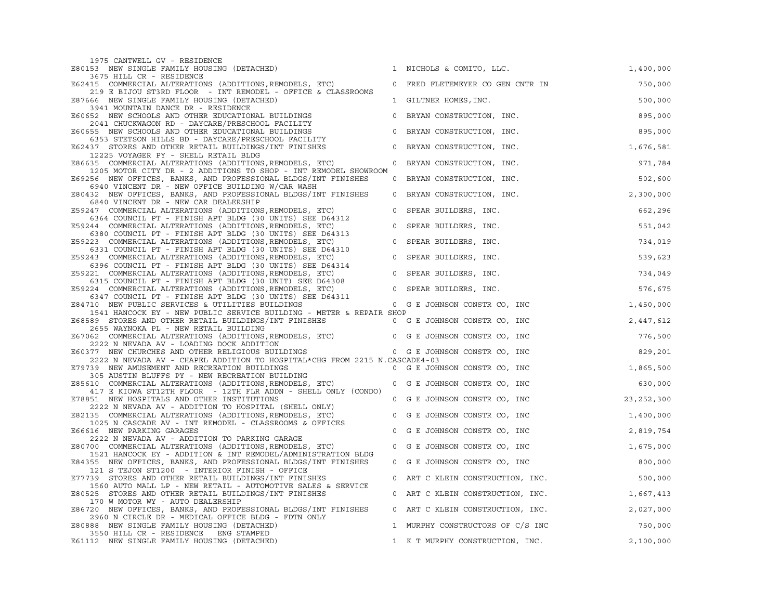| 1975 CANTWELL GV - RESIDENCE                                                                                                                                               |              |                                  |              |
|----------------------------------------------------------------------------------------------------------------------------------------------------------------------------|--------------|----------------------------------|--------------|
| E80153 NEW SINGLE FAMILY HOUSING (DETACHED)                                                                                                                                |              | 1 NICHOLS & COMITO, LLC.         | 1,400,000    |
| 3675 HILL CR - RESIDENCE<br>E62415 COMMERCIAL ALTERATIONS (ADDITIONS, REMODELS, ETC)                                                                                       | $\circ$      | FRED FLETEMEYER CO GEN CNTR IN   | 750,000      |
| 219 E BIJOU ST3RD FLOOR - INT REMODEL - OFFICE & CLASSROOMS<br>E87666 NEW SINGLE FAMILY HOUSING (DETACHED)                                                                 |              | 1 GILTNER HOMES, INC.            | 500,000      |
| 3941 MOUNTAIN DANCE DR - RESIDENCE                                                                                                                                         |              |                                  |              |
| E60652 NEW SCHOOLS AND OTHER EDUCATIONAL BUILDINGS<br>2041 CHUCKWAGON RD - DAYCARE/PRESCHOOL FACILITY                                                                      | $\mathsf{O}$ | BRYAN CONSTRUCTION, INC.         | 895,000      |
| E60655 NEW SCHOOLS AND OTHER EDUCATIONAL BUILDINGS<br>6353 STETSON HILLS BD - DAYCARE/PRESCHOOL FACILITY                                                                   | $\circ$      | BRYAN CONSTRUCTION, INC.         | 895,000      |
| E62437 STORES AND OTHER RETAIL BUILDINGS/INT FINISHES<br>12225 VOYAGER PY - SHELL RETAIL BLDG                                                                              | $\circ$      | BRYAN CONSTRUCTION, INC.         | 1,676,581    |
| E86635 COMMERCIAL ALTERATIONS (ADDITIONS, REMODELS, ETC)<br>1205 MOTOR CITY DR - 2 ADDITIONS TO SHOP - INT REMODEL SHOWROOM                                                | $\circ$      | BRYAN CONSTRUCTION, INC.         | 971,784      |
| E69256 NEW OFFICES, BANKS, AND PROFESSIONAL BLDGS/INT FINISHES<br>6940 VINCENT DR - NEW OFFICE BUILDING W/CAR WASH                                                         |              | 0 BRYAN CONSTRUCTION, INC.       | 502,600      |
| E80432 NEW OFFICES, BANKS, AND PROFESSIONAL BLDGS/INT FINISHES<br>6840 VINCENT DR - NEW CAR DEALERSHIP                                                                     | $\circ$      | BRYAN CONSTRUCTION, INC.         | 2,300,000    |
| E59247 COMMERCIAL ALTERATIONS (ADDITIONS, REMODELS, ETC)<br>6364 COUNCIL PT - FINISH APT BLDG (30 UNITS) SEE D64312                                                        | $\mathbf 0$  | SPEAR BUILDERS, INC.             | 662,296      |
| E59244 COMMERCIAL ALTERATIONS (ADDITIONS, REMODELS, ETC)                                                                                                                   | $\mathbf 0$  | SPEAR BUILDERS, INC.             | 551,042      |
| 6380 COUNCIL PT - FINISH APT BLDG (30 UNITS) SEE D64313<br>E59223 COMMERCIAL ALTERATIONS (ADDITIONS, REMODELS, ETC)                                                        | $\circ$      | SPEAR BUILDERS, INC.             | 734,019      |
| 6331 COUNCIL PT - FINISH APT BLDG (30 UNITS) SEE D64310<br>E59243 COMMERCIAL ALTERATIONS (ADDITIONS, REMODELS, ETC)                                                        | $\circ$      | SPEAR BUILDERS, INC.             | 539,623      |
| 6396 COUNCIL PT - FINISH APT BLDG (30 UNITS) SEE D64314<br>E59221 COMMERCIAL ALTERATIONS (ADDITIONS, REMODELS, ETC)                                                        | $\mathbf 0$  | SPEAR BUILDERS, INC.             | 734,049      |
| 6315 COUNCIL PT - FINISH APT BLDG (30 UNIT) SEE D64308<br>E59224 COMMERCIAL ALTERATIONS (ADDITIONS, REMODELS, ETC)                                                         |              | 0 SPEAR BUILDERS, INC.           | 576,675      |
| 6347 COUNCIL PT - FINISH APT BLDG (30 UNITS) SEE D64311<br>E84710 NEW PUBLIC SERVICES & UTILITIES BUILDINGS                                                                |              | 0 G E JOHNSON CONSTR CO, INC     | 1,450,000    |
| 1541 HANCOCK EY - NEW PUBLIC SERVICE BUILDING - METER & REPAIR SHOP                                                                                                        |              |                                  |              |
| E68589 STORES AND OTHER RETAIL BUILDINGS/INT FINISHES                                                                                                                      |              | 0 G E JOHNSON CONSTR CO, INC     | 2,447,612    |
| 2655 WAYNOKA PL - NEW RETAIL BUILDING<br>E67062 COMMERCIAL ALTERATIONS (ADDITIONS, REMODELS, ETC) 0 G E JOHNSON CONSTR CO, INC<br>2222 N NEVADA AV - LOADING DOCK ADDITION |              |                                  | 776,500      |
| E60377 NEW CHURCHES AND OTHER RELIGIOUS BUILDINGS                                                                                                                          |              | 0 G E JOHNSON CONSTR CO, INC     | 829,201      |
| 2222 N NEVADA AV - CHAPEL ADDITION TO HOSPITAL*CHG FROM 2215 N.CASCADE4-03                                                                                                 |              |                                  |              |
| E79739 NEW AMUSEMENT AND RECREATION BUILDINGS<br>305 AUSTIN BLUFFS PY - NEW RECREATION BUILDING                                                                            |              | 0 G E JOHNSON CONSTR CO, INC     | 1,865,500    |
| E85610 COMMERCIAL ALTERATIONS (ADDITIONS, REMODELS, ETC)<br>417 E KIOWA ST12TH FLOOR - 12TH FLR ADDN - SHELL ONLY (CONDO)                                                  |              | 0 G E JOHNSON CONSTR CO, INC     | 630,000      |
| E78851 NEW HOSPITALS AND OTHER INSTITUTIONS<br>2222 N NEVADA AV - ADDITION TO HOSPITAL (SHELL ONLY)                                                                        |              | 0 G E JOHNSON CONSTR CO, INC     | 23, 252, 300 |
| E82135 COMMERCIAL ALTERATIONS (ADDITIONS, REMODELS, ETC)<br>1025 N CASCADE AV - INT REMODEL - CLASSROOMS & OFFICES                                                         | $\mathbf 0$  | G E JOHNSON CONSTR CO, INC       | 1,400,000    |
| E66616 NEW PARKING GARAGES<br>2222 N NEVADA AV - ADDITION TO PARKING GARAGE                                                                                                | $\circ$      | G E JOHNSON CONSTR CO, INC       | 2,819,754    |
| E80700 COMMERCIAL ALTERATIONS (ADDITIONS, REMODELS, ETC)<br>1521 HANCOCK EY - ADDITION & INT REMODEL/ADMINISTRATION BLDG                                                   | $\circ$      | G E JOHNSON CONSTR CO, INC       | 1,675,000    |
| E84355 NEW OFFICES, BANKS, AND PROFESSIONAL BLDGS/INT FINISHES<br>121 S TEJON ST1200 - INTERIOR FINISH - OFFICE                                                            |              | 0 G E JOHNSON CONSTR CO, INC     | 800,000      |
| E77739 STORES AND OTHER RETAIL BUILDINGS/INT FINISHES                                                                                                                      | $\circ$      | ART C KLEIN CONSTRUCTION, INC.   | 500,000      |
| 1560 AUTO MALL LP - NEW RETAIL - AUTOMOTIVE SALES & SERVICE<br>E80525 STORES AND OTHER RETAIL BUILDINGS/INT FINISHES                                                       | $\circ$      | ART C KLEIN CONSTRUCTION, INC.   | 1,667,413    |
| 170 W MOTOR WY - AUTO DEALERSHIP<br>E86720 NEW OFFICES, BANKS, AND PROFESSIONAL BLDGS/INT FINISHES                                                                         |              | 0 ART C KLEIN CONSTRUCTION, INC. | 2,027,000    |
| 2960 N CIRCLE DR - MEDICAL OFFICE BLDG - FDTN ONLY<br>E80888 NEW SINGLE FAMILY HOUSING (DETACHED)                                                                          |              | 1 MURPHY CONSTRUCTORS OF C/S INC | 750,000      |
| 3550 HILL CR - RESIDENCE ENG STAMPED<br>E61112 NEW SINGLE FAMILY HOUSING (DETACHED)                                                                                        |              | 1 K T MURPHY CONSTRUCTION, INC.  | 2,100,000    |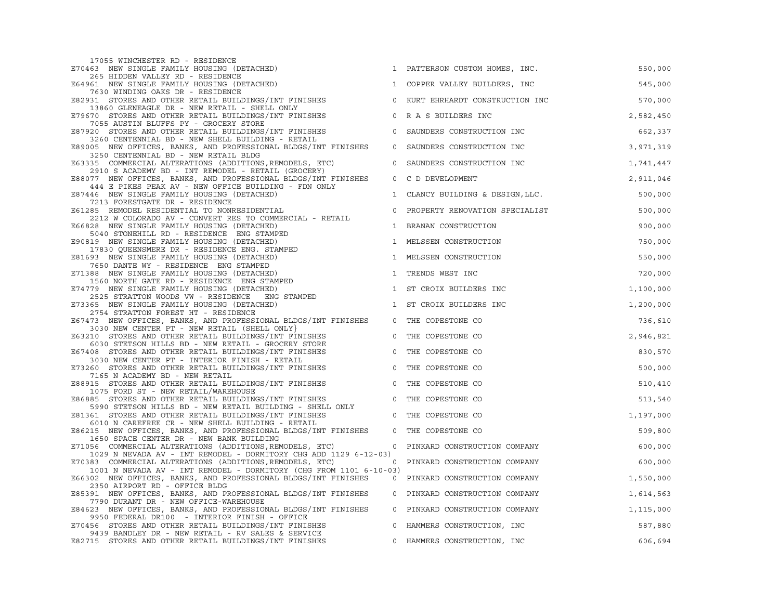| 17055 WINCHESTER RD - RESIDENCE                                                                                                                                                                                                               |                |                                  |             |  |
|-----------------------------------------------------------------------------------------------------------------------------------------------------------------------------------------------------------------------------------------------|----------------|----------------------------------|-------------|--|
| E70463 NEW SINGLE FAMILY HOUSING (DETACHED)                                                                                                                                                                                                   |                | 1 PATTERSON CUSTOM HOMES, INC.   | 550,000     |  |
| 265 HIDDEN VALLEY RD - RESIDENCE                                                                                                                                                                                                              |                |                                  |             |  |
| E64961 NEW SINGLE FAMILY HOUSING (DETACHED)                                                                                                                                                                                                   |                | 1 COPPER VALLEY BUILDERS, INC    | 545,000     |  |
| 7630 WINDING OAKS DR - RESIDENCE                                                                                                                                                                                                              |                |                                  |             |  |
| E82931 STORES AND OTHER RETAIL BUILDINGS/INT FINISHES 60 WURT EHRHARDT CONSTRUCTION INC                                                                                                                                                       |                |                                  | 570,000     |  |
| 13860 GLENEAGLE DR - NEW RETAIL - SHELL ONLY<br>E79670 STORES AND OTHER RETAIL BUILDINGS/INT FINISHES 0 R A S BUILDERS INC                                                                                                                    |                |                                  |             |  |
| 7055 AUSTIN BLUFFS PY - GROCERY STORE                                                                                                                                                                                                         |                |                                  | 2,582,450   |  |
|                                                                                                                                                                                                                                               |                |                                  | 662,337     |  |
| E87920 STORES AND OTHER RETAIL BUILDINGS/INT FINISHES $\frac{3260}{3260}$ CONSTRUCTION INC<br>3260 CENTENNIAL BD - NEW SHELL BUILDING - RETAIL                                                                                                |                |                                  |             |  |
| E89005 NEW OFFICES, BANKS, AND PROFESSIONAL BLDGS/INT FINISHES                                                                                                                                                                                |                | 0 SAUNDERS CONSTRUCTION INC      | 3,971,319   |  |
| 3250 CENTENNIAL BD - NEW RETAIL BLDG                                                                                                                                                                                                          |                |                                  |             |  |
| E63335 COMMERCIAL ALTERATIONS (ADDITIONS, REMODELS, ETC)                                                                                                                                                                                      |                | 0 SAUNDERS CONSTRUCTION INC      | 1,741,447   |  |
| 2910 S ACADEMY BD - INT REMODEL - RETAIL (GROCERY)                                                                                                                                                                                            |                |                                  |             |  |
| E88077 NEW OFFICES, BANKS, AND PROFESSIONAL BLDGS/INT FINISHES                                                                                                                                                                                |                | 0 C D DEVELOPMENT                | 2,911,046   |  |
| 444 E PIKES PEAK AV - NEW OFFICE BUILDING - FDN ONLY                                                                                                                                                                                          |                |                                  |             |  |
| E87446 NEW SINGLE FAMILY HOUSING (DETACHED)                                                                                                                                                                                                   |                | 1 CLANCY BUILDING & DESIGN, LLC. | 500,000     |  |
| 7213 FORESTGATE DR - RESIDENCE<br>7213 PURBSIUMIE DR - RESIDENTIAL<br>E61285 REMODEL RESIDENTIAL TO NONRESIDENTIAL                                                                                                                            |                |                                  |             |  |
| 2212 W COLORADO AV - CONVERT RES TO COMMERCIAL - RETAIL                                                                                                                                                                                       |                | 0 PROPERTY RENOVATION SPECIALIST | 500,000     |  |
| E66828 NEW SINGLE FAMILY HOUSING (DETACHED)                                                                                                                                                                                                   |                | 1 BRANAN CONSTRUCTION            | 900,000     |  |
|                                                                                                                                                                                                                                               |                |                                  |             |  |
| 5040 STONEHILL RD - RESIDENCE ENG STAMPED<br>E90819 NEW SINGLE FAMILY HOUSING (DETACHED)<br>17830 QUEENSMERE DR - RESIDENCE ENG. STAMPED                                                                                                      |                | 1 MELSSEN CONSTRUCTION           | 750,000     |  |
|                                                                                                                                                                                                                                               |                |                                  |             |  |
| E81693 NEW SINGLE FAMILY HOUSING (DETACHED)                                                                                                                                                                                                   |                | 1 MELSSEN CONSTRUCTION           | 550,000     |  |
|                                                                                                                                                                                                                                               |                |                                  |             |  |
|                                                                                                                                                                                                                                               |                | 1 TRENDS WEST INC                | 720,000     |  |
|                                                                                                                                                                                                                                               |                |                                  |             |  |
| E81693 NEW SINGLE FAMILY HOUSING (DETACHED)<br>7650 DANTE WY - RESIDENCE ENG STAMPED<br>E71388 NEW SINGLE FAMILY HOUSING (DETACHED)<br>1560 NORTH GATE RD - RESIDENCE ENG STAMPED<br>E7479 NEW SINGLE FAMILY HOUSING (DETACHED)<br>E73365 NEW |                | 1 ST CROIX BUILDERS INC          | 1,100,000   |  |
|                                                                                                                                                                                                                                               |                | 1 ST CROIX BUILDERS INC          | 1,200,000   |  |
| 2754 STRATTON FOREST HT - RESIDENCE                                                                                                                                                                                                           |                |                                  |             |  |
| E67473 NEW OFFICES, BANKS, AND PROFESSIONAL BLDGS/INT FINISHES                                                                                                                                                                                |                | 0 THE COPESTONE CO               | 736,610     |  |
|                                                                                                                                                                                                                                               |                |                                  |             |  |
| 3030 NEW CENTER PT - NEW RETAIL (SHELL ONLY)<br>E63210 STORES AND OTHER RETAIL BUILDINGS/INT FINISHES                                                                                                                                         | $\overline{0}$ | THE COPESTONE CO                 | 2,946,821   |  |
| 6030 STETSON HILLS BD - NEW RETAIL - GROCERY STORE                                                                                                                                                                                            |                |                                  |             |  |
| E67408 STORES AND OTHER RETAIL BUILDINGS/INT FINISHES<br>3030 NEW CENTER PT - INTERIOR FINISH - RETAIL                                                                                                                                        |                | 0 THE COPESTONE CO               | 830,570     |  |
| E73260 STORES AND OTHER RETAIL BUILDINGS/INT FINISHES 0 THE COPESTONE CO                                                                                                                                                                      |                |                                  |             |  |
|                                                                                                                                                                                                                                               |                |                                  | 500,000     |  |
| 7165 N ACADEMY BD - NEW RETAIL                                                                                                                                                                                                                |                |                                  | 510,410     |  |
| E88915 STORES AND OTHER RETAIL BUILDINGS/INT FINISHES 0 THE COPESTONE CO<br>1075 FORD ST - NEW RETAIL/WAREHOUSE                                                                                                                               |                |                                  |             |  |
| E86885 STORES AND OTHER RETAIL BUILDINGS/INT FINISHES                                                                                                                                                                                         |                | 0 THE COPESTONE CO               | 513,540     |  |
| 5990 STETSON HILLS BD - NEW RETAIL BUILDING - SHELL ONLY                                                                                                                                                                                      |                |                                  |             |  |
| E81361 STORES AND OTHER RETAIL BUILDINGS/INT FINISHES                                                                                                                                                                                         | $\overline{0}$ | THE COPESTONE CO                 | 1,197,000   |  |
| 6010 N CAREFREE CR - NEW SHELL BUILDING - RETAIL                                                                                                                                                                                              |                |                                  |             |  |
| E86215 NEW OFFICES, BANKS, AND PROFESSIONAL BLDGS/INT FINISHES                                                                                                                                                                                | $\overline{0}$ | THE COPESTONE CO                 | 509,800     |  |
| 1650 SPACE CENTER DR - NEW BANK BUILDING                                                                                                                                                                                                      |                |                                  |             |  |
| E71056 COMMERCIAL ALTERATIONS (ADDITIONS, REMODELS, ETC)                                                                                                                                                                                      |                | 0 PINKARD CONSTRUCTION COMPANY   | 600,000     |  |
| 1029 N NEVADA AV - INT REMODEL - DORMITORY CHG ADD 1129 6-12-03)<br>E70383 COMMERCIAL ALTERATIONS (ADDITIONS, REMODELS, ETC) 0 PINKARD CONSTRUCTION COMPANY                                                                                   |                |                                  | 600,000     |  |
| 1001 N NEVADA AV - INT REMODEL - DORMITORY (CHG FROM 1101 6-10-03)                                                                                                                                                                            |                |                                  |             |  |
| E66302 NEW OFFICES, BANKS, AND PROFESSIONAL BLDGS/INT FINISHES                                                                                                                                                                                |                | 0 PINKARD CONSTRUCTION COMPANY   | 1,550,000   |  |
| 2350 AIRPORT RD - OFFICE BLDG                                                                                                                                                                                                                 |                |                                  |             |  |
| E85391 NEW OFFICES, BANKS, AND PROFESSIONAL BLDGS/INT FINISHES                                                                                                                                                                                |                | 0 PINKARD CONSTRUCTION COMPANY   | 1,614,563   |  |
| 7790 DURANT DR - NEW OFFICE-WAREHOUSE                                                                                                                                                                                                         |                |                                  |             |  |
| E84623 NEW OFFICES, BANKS, AND PROFESSIONAL BLDGS/INT FINISHES                                                                                                                                                                                |                | 0 PINKARD CONSTRUCTION COMPANY   | 1, 115, 000 |  |
| 9950 FEDERAL DR100 - INTERIOR FINISH - OFFICE                                                                                                                                                                                                 |                |                                  |             |  |
| E70456 STORES AND OTHER RETAIL BUILDINGS/INT FINISHES<br>9439 BANDLEY DR - NEW RETAIL - RV SALES & SERVICE                                                                                                                                    |                | 0 HAMMERS CONSTRUCTION, INC      | 587,880     |  |
| E82715 STORES AND OTHER RETAIL BUILDINGS/INT FINISHES                                                                                                                                                                                         |                | 0 HAMMERS CONSTRUCTION, INC      | 606,694     |  |
|                                                                                                                                                                                                                                               |                |                                  |             |  |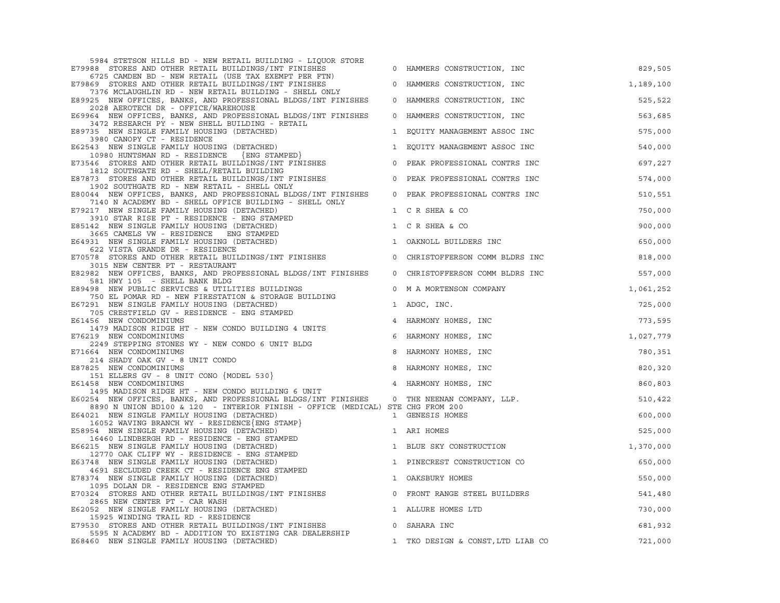| 5984 STETSON HILLS BD - NEW RETAIL BUILDING - LIQUOR STORE<br>E79988 STORES AND OTHER RETAIL BUILDINGS/INT FINISHES                              |                | 0 HAMMERS CONSTRUCTION, INC       | 829,505   |
|--------------------------------------------------------------------------------------------------------------------------------------------------|----------------|-----------------------------------|-----------|
| 6725 CAMDEN BD - NEW RETAIL (USE TAX EXEMPT PER FTN)<br>E79869 STORES AND OTHER RETAIL BUILDINGS/INT FINISHES                                    |                | 0 HAMMERS CONSTRUCTION, INC       | 1,189,100 |
| 7376 MCLAUGHLIN RD - NEW RETAIL BUILDING - SHELL ONLY<br>E89925 NEW OFFICES, BANKS, AND PROFESSIONAL BLDGS/INT FINISHES                          |                | 0 HAMMERS CONSTRUCTION, INC       | 525,522   |
| 2028 AEROTECH DR - OFFICE/WAREHOUSE<br>E69964 NEW OFFICES, BANKS, AND PROFESSIONAL BLDGS/INT FINISHES                                            |                | 0 HAMMERS CONSTRUCTION, INC       | 563,685   |
| 3472 RESEARCH PY - NEW SHELL BUILDING - RETAIL<br>E89735 NEW SINGLE FAMILY HOUSING (DETACHED)                                                    |                | 1 EQUITY MANAGEMENT ASSOC INC     | 575,000   |
| 3980 CANOPY CT - RESIDENCE<br>E62543 NEW SINGLE FAMILY HOUSING (DETACHED)                                                                        |                | 1 EQUITY MANAGEMENT ASSOC INC     | 540,000   |
| 10980 HUNTSMAN RD - RESIDENCE (ENG STAMPED)<br>546 STORES AND OTHER DETAILS TO STAMPED)<br>E73546 STORES AND OTHER RETAIL BUILDINGS/INT FINISHES | $\circ$        | PEAK PROFESSIONAL CONTRS INC      | 697,227   |
| 1812 SOUTHGATE RD - SHELL/RETAIL BUILDING<br>E87873 STORES AND OTHER RETAIL BUILDINGS/INT FINISHES                                               | $\circ$        | PEAK PROFESSIONAL CONTRS INC      | 574,000   |
| 1902 SOUTHGATE RD - NEW RETAIL - SHELL ONLY<br>E80044 NEW OFFICES, BANKS, AND PROFESSIONAL BLDGS/INT FINISHES                                    |                | 0 PEAK PROFESSIONAL CONTRS INC    | 510,551   |
| 7140 N ACADEMY BD - SHELL OFFICE BUILDING - SHELL ONLY<br>E79217 NEW SINGLE FAMILY HOUSING (DETACHED)                                            |                | 1 C R SHEA & CO                   | 750,000   |
| 3910 STAR RISE PT - RESIDENCE - ENG STAMPED<br>E85142 NEW SINGLE FAMILY HOUSING (DETACHED)                                                       |                | 1 C R SHEA & CO                   | 900,000   |
| 3665 CAMELS VW - RESIDENCE ENG STAMPED<br>E64931 NEW SINGLE FAMILY HOUSING (DETACHED)                                                            | $\mathbf{1}$   | OAKNOLL BUILDERS INC              | 650,000   |
| 622 VISTA GRANDE DR - RESIDENCE<br>E70578 STORES AND OTHER RETAIL BUILDINGS/INT FINISHES                                                         | $\overline{0}$ | CHRISTOFFERSON COMM BLDRS INC     | 818,000   |
| 3015 NEW CENTER PT - RESTAURANT<br>E82982 NEW OFFICES, BANKS, AND PROFESSIONAL BLDGS/INT FINISHES                                                |                | 0 CHRISTOFFERSON COMM BLDRS INC   | 557,000   |
| 581 HWY 105 - SHELL BANK BLDG<br>E89498 NEW PUBLIC SERVICES & UTILITIES BUILDINGS                                                                | $\circ$        | M A MORTENSON COMPANY             | 1,061,252 |
| 750 EL POMAR RD - NEW FIRESTATION & STORAGE BUILDING<br>E67291 NEW SINGLE FAMILY HOUSING (DETACHED)                                              |                | 1 ADGC, INC.                      | 725,000   |
| 705 CRESTFIELD GV - RESIDENCE - ENG STAMPED<br>E61456 NEW CONDOMINIUMS                                                                           |                | 4 HARMONY HOMES, INC              | 773,595   |
| 1479 MADISON RIDGE HT - NEW CONDO BUILDING 4 UNITS<br>E76219 NEW CONDOMINIUMS                                                                    | 6              | HARMONY HOMES, INC                | 1,027,779 |
| 2249 STEPPING STONES WY - NEW CONDO 6 UNIT BLDG<br>E71664 NEW CONDOMINIUMS                                                                       | 8              | HARMONY HOMES, INC                | 780,351   |
| 214 SHADY OAK GV - 8 UNIT CONDO<br>E87825 NEW CONDOMINIUMS                                                                                       |                | 8 HARMONY HOMES, INC              | 820,320   |
| 151 ELLERS GV - 8 UNIT CONO {MODEL 530}<br>E61458 NEW CONDOMINIUMS                                                                               |                | 4 HARMONY HOMES, INC              | 860,803   |
| 1495 MADISON RIDGE HT - NEW CONDO BUILDING 6 UNIT<br>E60254 NEW OFFICES, BANKS, AND PROFESSIONAL BLDGS/INT FINISHES 0 THE NEENAN COMPANY, LLP.   |                |                                   | 510,422   |
| 8890 N UNION BD100 & 120 - INTERIOR FINISH - OFFICE (MEDICAL) STE CHG FROM 200<br>E64021 NEW SINGLE FAMILY HOUSING (DETACHED)                    |                | 1 GENESIS HOMES                   | 600,000   |
| 16052 WAVING BRANCH WY - RESIDENCE {ENG STAMP}<br>E58954 NEW SINGLE FAMILY HOUSING (DETACHED)                                                    |                | 1 ARI HOMES                       | 525,000   |
| 16460 LINDBERGH RD - RESIDENCE - ENG STAMPED<br>E66215 NEW SINGLE FAMILY HOUSING (DETACHED)                                                      |                | 1 BLUE SKY CONSTRUCTION           | 1,370,000 |
| 12770 OAK CLIFF WY - RESIDENCE - ENG STAMPED<br>E63748 NEW SINGLE FAMILY HOUSING (DETACHED)                                                      |                | 1 PINECREST CONSTRUCTION CO       | 650,000   |
| 4691 SECLUDED CREEK CT - RESIDENCE ENG STAMPED<br>E78374 NEW SINGLE FAMILY HOUSING (DETACHED)                                                    |                | 1 OAKSBURY HOMES                  | 550,000   |
| 1095 DOLAN DR - RESIDENCE ENG STAMPED<br>E70324 STORES AND OTHER RETAIL BUILDINGS/INT FINISHES                                                   | $\circ$        | FRONT RANGE STEEL BUILDERS        | 541,480   |
| 2865 NEW CENTER PT - CAR WASH<br>E62052 NEW SINGLE FAMILY HOUSING (DETACHED)                                                                     |                | 1 ALLURE HOMES LTD                | 730,000   |
| 15925 WINDING TRAIL RD - RESIDENCE<br>E79530 STORES AND OTHER RETAIL BUILDINGS/INT FINISHES                                                      |                | 0 SAHARA INC                      | 681,932   |
| 5595 N ACADEMY BD - ADDITION TO EXISTING CAR DEALERSHIP<br>E68460 NEW SINGLE FAMILY HOUSING (DETACHED)                                           |                | 1 TKO DESIGN & CONST, LTD LIAB CO | 721,000   |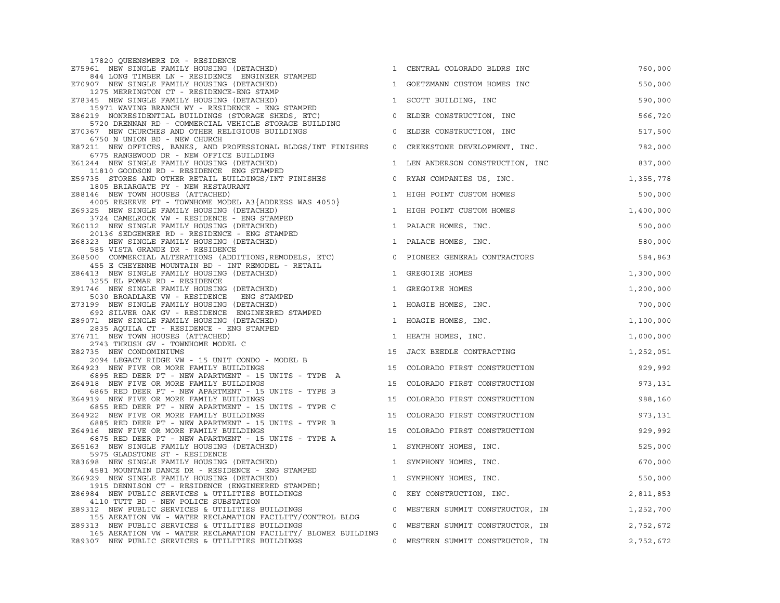| 17820 QUEENSMERE DR - RESIDENCE<br>E75961 NEW SINGLE FAMILY HOUSING (DETACHED)                                                         |    | 1 CENTRAL COLORADO BLDRS INC     | 760,000   |
|----------------------------------------------------------------------------------------------------------------------------------------|----|----------------------------------|-----------|
| 844 LONG TIMBER LN - RESIDENCE ENGINEER STAMPED<br>E70907 NEW SINGLE FAMILY HOUSING (DETACHED)                                         |    | 1 GOETZMANN CUSTOM HOMES INC     | 550,000   |
| 1275 MERRINGTON CT - RESIDENCE-ENG STAMP<br>E78345 NEW SINGLE FAMILY HOUSING (DETACHED)                                                |    | 1 SCOTT BUILDING, INC            | 590,000   |
| 15971 WAVING BRANCH WY - RESIDENCE - ENG STAMPED<br>E86219 NONRESIDENTIAL BUILDINGS (STORAGE SHEDS, ETC)                               |    | 0 ELDER CONSTRUCTION, INC        | 566,720   |
| 5720 DRENNAN RD - COMMERCIAL VEHICLE STORAGE BUILDING<br>E70367 NEW CHURCHES AND OTHER RELIGIOUS BUILDINGS                             |    | 0 ELDER CONSTRUCTION, INC        | 517,500   |
| 6750 N UNION BD - NEW CHURCH<br>E87211 NEW OFFICES, BANKS, AND PROFESSIONAL BLDGS/INT FINISHES                                         |    | 0 CREEKSTONE DEVELOPMENT, INC.   | 782,000   |
| 6775 RANGEWOOD DR - NEW OFFICE BUILDING<br>E61244 NEW SINGLE FAMILY HOUSING (DETACHED)                                                 |    | 1 LEN ANDERSON CONSTRUCTION, INC | 837,000   |
| 11810 GOODSON RD - RESIDENCE ENG STAMPED<br>E59735 STORES AND OTHER RETAIL BUILDINGS/INT FINISHES                                      |    | 0 RYAN COMPANIES US, INC.        | 1,355,778 |
| 1805 BRIARGATE PY - NEW RESTAURANT<br>E88146 NEW TOWN HOUSES (ATTACHED)                                                                |    | 1 HIGH POINT CUSTOM HOMES        | 500,000   |
| 4005 RESERVE PT - TOWNHOME MODEL A3 $\{ADDRESS$ WAS 4050 $\}$<br>E69325 NEW SINGLE FAMILY HOUSING (DETACHED)                           |    | 1 HIGH POINT CUSTOM HOMES        | 1,400,000 |
| 3724 CAMELROCK VW - RESIDENCE - ENG STAMPED<br>E60112 NEW SINGLE FAMILY HOUSING (DETACHED)                                             |    | 1 PALACE HOMES, INC.             | 500,000   |
| 20136 SEDGEMERE RD - RESIDENCE - ENG STAMPED<br>23 NEW SINGLE FAMILY HOUSING (DETACHED)<br>E68323 NEW SINGLE FAMILY HOUSING (DETACHED) |    | 1 PALACE HOMES, INC.             | 580,000   |
| 585 VISTA GRANDE DR - RESIDENCE<br>E68500 COMMERCIAL ALTERATIONS (ADDITIONS, REMODELS, ETC)                                            |    | 0 PIONEER GENERAL CONTRACTORS    | 584,863   |
| 455 E CHEYENNE MOUNTAIN BD - INT REMODEL - RETAIL<br>E86413 NEW SINGLE FAMILY HOUSING (DETACHED)                                       |    | 1 GREGOIRE HOMES                 | 1,300,000 |
| 3255 EL POMAR RD - RESIDENCE<br>E91746 NEW SINGLE FAMILY HOUSING (DETACHED)                                                            |    | 1 GREGOIRE HOMES                 | 1,200,000 |
| 5030 BROADLAKE VW - RESIDENCE ENG STAMPED<br>E73199 NEW SINGLE FAMILY HOUSING (DETACHED)                                               |    | 1 HOAGIE HOMES, INC.             | 700,000   |
| 692 SILVER OAK GV - RESIDENCE ENGINEERED STAMPED<br>E89071 NEW SINGLE FAMILY HOUSING (DETACHED)                                        |    | 1 HOAGIE HOMES, INC.             | 1,100,000 |
| 2835 AQUILA CT - RESIDENCE - ENG STAMPED<br>E76711 NEW TOWN HOUSES (ATTACHED)                                                          |    | 1 HEATH HOMES, INC.              | 1,000,000 |
| 2743 THRUSH GV - TOWNHOME MODEL C<br>E82735 NEW CONDOMINIUMS                                                                           |    | 15 JACK BEEDLE CONTRACTING       | 1,252,051 |
| 2094 LEGACY RIDGE VW - 15 UNIT CONDO - MODEL B<br>E64923 NEW FIVE OR MORE FAMILY BUILDINGS                                             | 15 | COLORADO FIRST CONSTRUCTION      | 929,992   |
| 6895 RED DEER PT - NEW APARTMENT - 15 UNITS - TYPE A<br>E64918 NEW FIVE OR MORE FAMILY BUILDINGS                                       |    | 15 COLORADO FIRST CONSTRUCTION   | 973,131   |
| 6865 RED DEER PT - NEW APARTMENT - 15 UNITS - TYPE B<br>E64919 NEW FIVE OR MORE FAMILY BUILDINGS                                       | 15 | COLORADO FIRST CONSTRUCTION      | 988,160   |
| 6855 RED DEER PT - NEW APARTMENT - 15 UNITS - TYPE C<br>E64922 NEW FIVE OR MORE FAMILY BUILDINGS                                       | 15 | COLORADO FIRST CONSTRUCTION      | 973,131   |
| 6885 RED DEER PT - NEW APARTMENT - 15 UNITS - TYPE B<br>E64916 NEW FIVE OR MORE FAMILY BUILDINGS                                       |    | 15 COLORADO FIRST CONSTRUCTION   | 929,992   |
| 6875 RED DEER PT - NEW APARTMENT - 15 UNITS - TYPE A<br>E65163 NEW SINGLE FAMILY HOUSING (DETACHED)<br>5975 GLADSTONE ST - RESIDENCE   |    | 1 SYMPHONY HOMES, INC.           | 525,000   |
| E83698 NEW SINGLE FAMILY HOUSING (DETACHED)<br>4581 MOUNTAIN DANCE DR - RESIDENCE - ENG STAMPED                                        |    | 1 SYMPHONY HOMES, INC.           | 670,000   |
| E66929 NEW SINGLE FAMILY HOUSING (DETACHED)<br>1915 DENNISON CT - RESIDENCE (ENGINEERED STAMPED)                                       |    | 1 SYMPHONY HOMES, INC.           | 550,000   |
| E86984 NEW PUBLIC SERVICES & UTILITIES BUILDINGS<br>4110 TUTT BD - NEW POLICE SUBSTATION                                               |    | 0 KEY CONSTRUCTION, INC.         | 2,811,853 |
| E89312 NEW PUBLIC SERVICES & UTILITIES BUILDINGS<br>155 AERATION VW - WATER RECLAMATION FACILITY/CONTROL BLDG                          |    | 0 WESTERN SUMMIT CONSTRUCTOR, IN | 1,252,700 |
| E89313 NEW PUBLIC SERVICES & UTILITIES BUILDINGS<br>165 AERATION VW - WATER RECLAMATION FACILITY/ BLOWER BUILDING                      |    | 0 WESTERN SUMMIT CONSTRUCTOR, IN | 2,752,672 |
| E89307 NEW PUBLIC SERVICES & UTILITIES BUILDINGS                                                                                       |    | 0 WESTERN SUMMIT CONSTRUCTOR, IN | 2,752,672 |

| GOETZMANN CUSTOM HOMES INC        | 550,000   |
|-----------------------------------|-----------|
| SCOTT BUILDING, INC               | 590,000   |
| ELDER CONSTRUCTION, INC           | 566,720   |
| ELDER CONSTRUCTION, INC           | 517,500   |
| CREEKSTONE DEVELOPMENT, INC.      | 782,000   |
| LEN ANDERSON CONSTRUCTION, INC    | 837,000   |
| RYAN COMPANIES US, INC.           | 1,355,778 |
| HIGH POINT CUSTOM HOMES           | 500,000   |
| HIGH POINT CUSTOM HOMES           | 1,400,000 |
| PALACE HOMES, INC.                | 500,000   |
| PALACE HOMES, INC.                | 580,000   |
| PIONEER GENERAL CONTRACTORS       | 584,863   |
| GREGOIRE HOMES                    | 1,300,000 |
| GREGOIRE HOMES                    | 1,200,000 |
| HOAGIE HOMES, INC.                | 700,000   |
| HOAGIE HOMES, INC.                | 1,100,000 |
| HEATH HOMES, INC.                 | 1,000,000 |
| JACK BEEDLE CONTRACTING           | 1,252,051 |
| COLORADO FIRST CONSTRUCTION       | 929,992   |
| COLORADO FIRST CONSTRUCTION       | 973,131   |
| COLORADO FIRST CONSTRUCTION       | 988,160   |
| COLORADO FIRST CONSTRUCTION       | 973,131   |
| COLORADO FIRST CONSTRUCTION       | 929,992   |
| SYMPHONY HOMES, INC.              | 525,000   |
| SYMPHONY HOMES, INC.              | 670,000   |
| SYMPHONY HOMES, INC.              | 550,000   |
| KEY CONSTRUCTION, INC.            | 2,811,853 |
| WESTERN SUMMIT CONSTRUCTOR, IN    | 1,252,700 |
| WESTERN SUMMIT CONSTRUCTOR,<br>ΙN | 2,752,672 |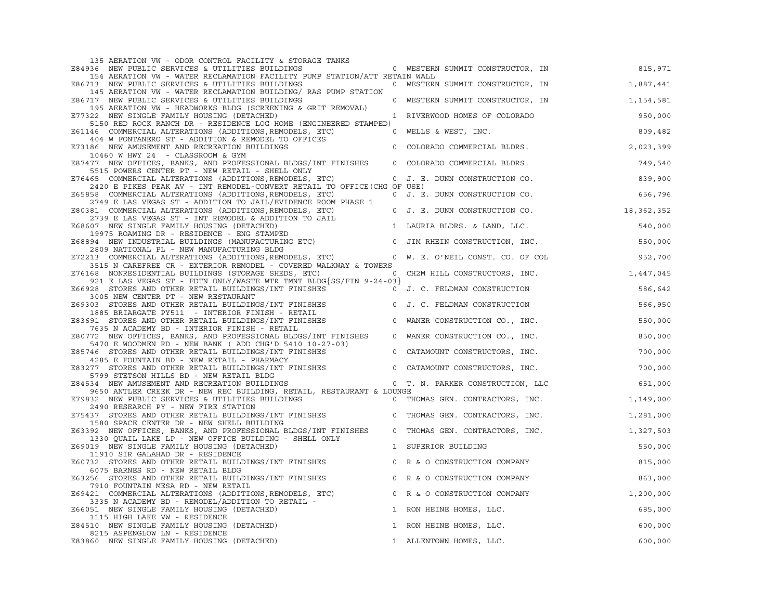| 135 AERATION VW - ODOR CONTROL FACILITY & STORAGE TANKS                                                                                                                      |                |                                          |           |
|------------------------------------------------------------------------------------------------------------------------------------------------------------------------------|----------------|------------------------------------------|-----------|
| E84936 NEW PUBLIC SERVICES & UTILITIES BUILDINGS                                                                                                                             |                | 0 WESTERN SUMMIT CONSTRUCTOR, IN         | 815,971   |
| 154 AERATION VW - WATER RECLAMATION FACILITY PUMP STATION/ATT RETAIN WALL<br>E86713 NEW PUBLIC SERVICES & UTILITIES BUILDINGS                                                |                | 0 WESTERN SUMMIT CONSTRUCTOR, IN         | 1,887,441 |
| 145 AERATION VW - WATER RECLAMATION BUILDING/ RAS PUMP STATION                                                                                                               |                |                                          |           |
| E86717 NEW PUBLIC SERVICES & UTILITIES BUILDINGS                                                                                                                             |                | 0 WESTERN SUMMIT CONSTRUCTOR, IN         | 1,154,581 |
| 195 AERATION VW - HEADWORKS BLDG (SCREENING & GRIT REMOVAL)<br>E77322 NEW SINGLE FAMILY HOUSING (DETACHED)                                                                   |                | 1 RIVERWOOD HOMES OF COLORADO            | 950,000   |
| 5150 RED ROCK RANCH DR - RESIDENCE LOG HOME (ENGINEERED STAMPED)                                                                                                             |                |                                          |           |
| E61146 COMMERCIAL ALTERATIONS (ADDITIONS, REMODELS, ETC)                                                                                                                     |                | 0 WELLS & WEST, INC.                     | 809,482   |
| 404 W FONTANERO ST - ADDITION & REMODEL TO OFFICES                                                                                                                           |                | 0 COLORADO COMMERCIAL BLDRS.             |           |
| E73186 NEW AMUSEMENT AND RECREATION BUILDINGS<br>10460 W HWY 24 - CLASSROOM & GYM                                                                                            |                |                                          | 2,023,399 |
| E87477 NEW OFFICES, BANKS, AND PROFESSIONAL BLDGS/INT FINISHES                                                                                                               |                | 0 COLORADO COMMERCIAL BLDRS.             | 749,540   |
| 5515 POWERS CENTER PT - NEW RETAIL - SHELL ONLY<br>E76465 COMMERCIAL ALTERATIONS (ADDITIONS, REMODELS, ETC) 0 J. E. DUNN CONSTRUCTION CO.                                    |                |                                          |           |
| 2420 E PIKES PEAK AV - INT REMODEL-CONVERT RETAIL TO OFFICE (CHG OF USE)                                                                                                     |                |                                          | 839,900   |
| E65858 COMMERCIAL ALTERATIONS (ADDITIONS, REMODELS, ETC)                                                                                                                     |                | 0 J. E. DUNN CONSTRUCTION CO.            | 656,796   |
| 2749 E LAS VEGAS ST - ADDITION TO JAIL/EVIDENCE ROOM PHASE 1                                                                                                                 |                |                                          |           |
| E80381 COMMERCIAL ALTERATIONS (ADDITIONS, REMODELS, ETC)<br>2739 E LAS VEGAS ST - INT REMODEL & ADDITION TO JAIL                                                             |                | 0 J. E. DUNN CONSTRUCTION CO. 18,362,352 |           |
| E68607 NEW SINGLE FAMILY HOUSING (DETACHED)                                                                                                                                  |                | 1 LAURIA BLDRS. & LAND, LLC.             | 540,000   |
| 19975 ROAMING DR - RESIDENCE - ENG STAMPED                                                                                                                                   |                |                                          |           |
| E68894 NEW INDUSTRIAL BUILDINGS (MANUFACTURING ETC) 0 JIM RHEIN CONSTRUCTION, INC.<br>2809 NATIONAL PL - NEW MANUFACTURING BLDG                                              |                |                                          | 550,000   |
| E72213 COMMERCIAL ALTERATIONS (ADDITIONS, REMODELS, ETC) 0 W. E. O'NEIL CONST. CO. OF COL                                                                                    |                |                                          | 952,700   |
| 3515 N CAREFREE CR - EXTERIOR REMODEL - COVERED WALKWAY & TOWERS                                                                                                             |                |                                          |           |
| E76168 NONRESIDENTIAL BUILDINGS (STORAGE SHEDS, ETC) 0 CH2M HILL CONSTRUCTORS, INC. 1,447,045<br>921 E LAS VEGAS ST - FDTN ONLY/WASTE WTR TMNT BLDG{SS/FIN 9-24-03}          |                |                                          |           |
| E66928 STORES AND OTHER RETAIL BUILDINGS/INT FINISHES $\sim$ 0 J. C. FELDMAN CONSTRUCTION                                                                                    |                |                                          | 586,642   |
| 3005 NEW CENTER PT - NEW RESTAURANT                                                                                                                                          |                |                                          |           |
| SUUS NEW CENIER PI - NEW RESIAURANI<br>E69303 STORES AND OTHER RETAIL BUILDINGS/INT FINISHES 0 J. C. FELDMAN CONSTRUCTION<br>1885 RETARGATE DV511 - TNTERTOR FINISH - RETAIL |                |                                          | 566,950   |
| 1885 BRIARGATE PY511 - INTERIOR FINISH - RETAIL<br>E83691 STORES AND OTHER RETAIL BUILDINGS/INT FINISHES                                                                     | $\overline{0}$ | WANER CONSTRUCTION CO., INC.             | 550,000   |
| 7635 N ACADEMY BD - INTERIOR FINISH - RETAIL                                                                                                                                 |                |                                          |           |
| E80772 NEW OFFICES, BANKS, AND PROFESSIONAL BLDGS/INT FINISHES                                                                                                               | $\circ$        | WANER CONSTRUCTION CO., INC.             | 850,000   |
| 5470 E WOODMEN RD - NEW BANK ( ADD CHG'D 5410 10-27-03)<br>E85746 STORES AND OTHER RETAIL BUILDINGS/INT FINISHES                                                             | $\circ$        | CATAMOUNT CONSTRUCTORS, INC.             | 700,000   |
| 4285 E FOUNTAIN BD - NEW RETAIL - PHARMACY                                                                                                                                   |                |                                          |           |
| E83277 STORES AND OTHER RETAIL BUILDINGS/INT FINISHES 0 CATAMOUNT CONSTRUCTORS, INC.                                                                                         |                |                                          | 700,000   |
| 5799 STETSON HILLS BD - NEW RETAIL BLDG<br>E84534 NEW AMUSEMENT AND RECREATION BUILDINGS                                                                                     |                | 0 T. N. PARKER CONSTRUCTION, LLC         | 651,000   |
| 9650 ANTLER CREEK DR - NEW REC BUILDING, RETAIL, RESTAURANT & LOUNGE                                                                                                         |                |                                          |           |
| E79832 NEW PUBLIC SERVICES & UTILITIES BUILDINGS 6 0 THOMAS GEN. CONTRACTORS, INC.                                                                                           |                |                                          | 1,149,000 |
| 2490 RESEARCH PY - NEW FIRE STATION<br>E75437 STORES AND OTHER RETAIL BUILDINGS/INT FINISHES                                                                                 |                | 0 THOMAS GEN. CONTRACTORS, INC.          | 1,281,000 |
| 1580 SPACE CENTER DR - NEW SHELL BUILDING                                                                                                                                    |                |                                          |           |
| E63392 NEW OFFICES, BANKS, AND PROFESSIONAL BLDGS/INT FINISHES                                                                                                               |                | 0 THOMAS GEN. CONTRACTORS, INC.          | 1,327,503 |
| 1330 QUAIL LAKE LP - NEW OFFICE BUILDING - SHELL ONLY<br>E69019 NEW SINGLE FAMILY HOUSING (DETACHED)                                                                         |                | 1 SUPERIOR BUILDING                      | 550,000   |
| 11910 SIR GALAHAD DR - RESIDENCE                                                                                                                                             |                |                                          |           |
| E60732 STORES AND OTHER RETAIL BUILDINGS/INT FINISHES                                                                                                                        |                | 0 R & O CONSTRUCTION COMPANY             | 815,000   |
| 6075 BARNES RD - NEW RETAIL BLDG<br>E63256 STORES AND OTHER RETAIL BUILDINGS/INT FINISHES                                                                                    |                | 0 R & O CONSTRUCTION COMPANY             | 863,000   |
| 7910 FOUNTAIN MESA RD - NEW RETAIL                                                                                                                                           |                |                                          |           |
| E69421 COMMERCIAL ALTERATIONS (ADDITIONS, REMODELS, ETC)                                                                                                                     |                | 0 R & O CONSTRUCTION COMPANY             | 1,200,000 |
| 3335 N ACADEMY BD - REMODEL/ADDITION TO RETAIL -<br>E66051 NEW SINGLE FAMILY HOUSING (DETACHED)                                                                              |                | 1 RON HEINE HOMES, LLC.                  | 685,000   |
| 1115 HIGH LAKE VW - RESIDENCE                                                                                                                                                |                |                                          |           |
| E84510 NEW SINGLE FAMILY HOUSING (DETACHED)                                                                                                                                  |                | 1 RON HEINE HOMES, LLC.                  | 600,000   |
| 8215 ASPENGLOW LN - RESIDENCE<br>E83860 NEW SINGLE FAMILY HOUSING (DETACHED)                                                                                                 |                | 1 ALLENTOWN HOMES, LLC.                  | 600,000   |
|                                                                                                                                                                              |                |                                          |           |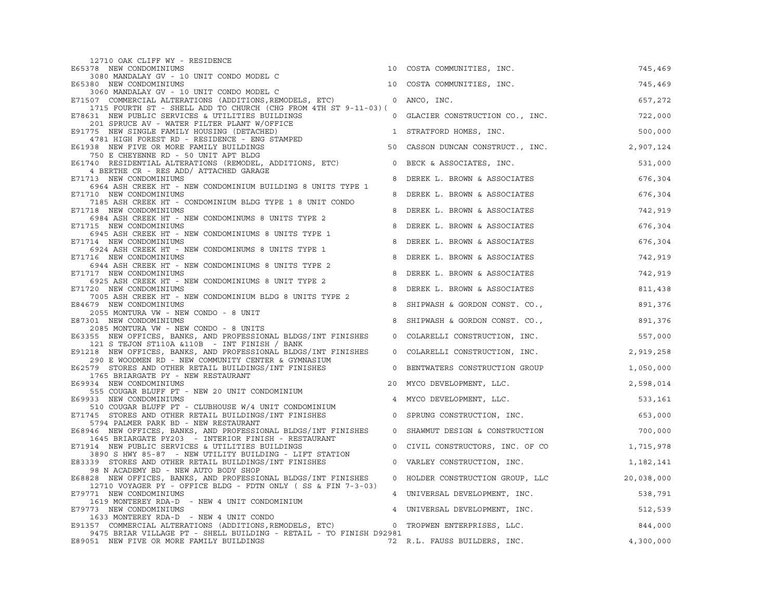| 12710 OAK CLIFF WY - RESIDENCE                                                                                                                                       |         |                                         |            |
|----------------------------------------------------------------------------------------------------------------------------------------------------------------------|---------|-----------------------------------------|------------|
| E65378 NEW CONDOMINIUMS                                                                                                                                              |         | 10 COSTA COMMUNITIES, INC.              | 745,469    |
| 3080 MANDALAY GV - 10 UNIT CONDO MODEL C<br>E65380 NEW CONDOMINIUMS                                                                                                  |         | 10 COSTA COMMUNITIES, INC.              | 745,469    |
| 3060 MANDALAY GV - 10 UNIT CONDO MODEL C                                                                                                                             |         |                                         |            |
| E71507 COMMERCIAL ALTERATIONS (ADDITIONS, REMODELS, ETC) 0 ANCO, INC.<br>1715 FOURTH ST - SHELL ADD TO CHURCH (CHG FROM 4TH ST 9-11-03) (                            |         |                                         | 657,272    |
| E78631 NEW PUBLIC SERVICES & UTILITIES BUILDINGS<br>201 SPRUCE AV - WATER FILTER PLANT W/OFFICE                                                                      |         | 0 GLACIER CONSTRUCTION CO., INC.        | 722,000    |
| E91775 NEW SINGLE FAMILY HOUSING (DETACHED)<br>4781 HIGH FOREST RD - RESIDENCE - ENG STAMPED                                                                         |         | 1 STRATFORD HOMES, INC.                 | 500,000    |
| E61938 NEW FIVE OR MORE FAMILY BUILDINGS                                                                                                                             |         | 50 CASSON DUNCAN CONSTRUCT., INC.       | 2,907,124  |
| 750 E CHEYENNE RD - 50 UNIT APT BLDG<br>E61740 RESIDENTIAL ALTERATIONS (REMODEL, ADDITIONS, ETC) 0 BECK & ASSOCIATES, INC.<br>4 BERTHE CR - RES ADD/ ATTACHED GARAGE |         |                                         | 531,000    |
| E71713 NEW CONDOMINIUMS                                                                                                                                              |         | 8 DEREK L. BROWN & ASSOCIATES           | 676,304    |
| 6964 ASH CREEK HT - NEW CONDOMINIUM BUILDING 8 UNITS TYPE 1<br>E71710 NEW CONDOMINIUMS                                                                               | 8       | DEREK L. BROWN & ASSOCIATES             | 676,304    |
| 7185 ASH CREEK HT - CONDOMINIUM BLDG TYPE 1 8 UNIT CONDO<br>E71718 NEW CONDOMINIUMS                                                                                  | 8       | DEREK L. BROWN & ASSOCIATES             | 742,919    |
| 6984 ASH CREEK HT - NEW CONDOMINUMS 8 UNITS TYPE 2<br>E71715 NEW CONDOMINIUMS                                                                                        | 8       | DEREK L. BROWN & ASSOCIATES             | 676,304    |
| 6945 ASH CREEK HT - NEW CONDOMINIUMS 8 UNITS TYPE 1<br>E71714 NEW CONDOMINIUMS                                                                                       | 8       | DEREK L. BROWN & ASSOCIATES             | 676,304    |
| 6924 ASH CREEK HT - NEW CONDOMINUMS 8 UNITS TYPE 1<br>E71716 NEW CONDOMINIUMS                                                                                        | 8       | DEREK L. BROWN & ASSOCIATES             | 742,919    |
| 6944 ASH CREEK HT - NEW CONDOMINIUMS 8 UNITS TYPE 2                                                                                                                  |         |                                         |            |
| E71717 NEW CONDOMINIUMS<br>6925 ASH CREEK HT - NEW CONDOMINIUMS 8 UNIT TYPE 2                                                                                        | 8       | DEREK L. BROWN & ASSOCIATES             | 742,919    |
| E71720 NEW CONDOMINIUMS<br>7005 ASH CREEK HT - NEW CONDOMINIUM BLDG 8 UNITS TYPE 2                                                                                   | 8       | DEREK L. BROWN & ASSOCIATES             | 811,438    |
| E84679 NEW CONDOMINIUMS<br>2055 MONTURA VW - NEW CONDO - 8 UNIT                                                                                                      | 8       | SHIPWASH & GORDON CONST. CO.,           | 891,376    |
| E87301 NEW CONDOMINIUMS                                                                                                                                              | 8       | SHIPWASH & GORDON CONST. CO.,           | 891,376    |
| 2085 MONTURA VW - NEW CONDO - 8 UNITS<br>E63355 NEW OFFICES, BANKS, AND PROFESSIONAL BLDGS/INT FINISHES                                                              |         | 0 COLARELLI CONSTRUCTION, INC.          | 557,000    |
| 121 S TEJON ST110A &110B - INT FINISH / BANK<br>E91218 NEW OFFICES, BANKS, AND PROFESSIONAL BLDGS/INT FINISHES                                                       |         | 0 COLARELLI CONSTRUCTION, INC.          | 2,919,258  |
| 290 E WOODMEN RD - NEW COMMUNITY CENTER & GYMNASIUM<br>E62579 STORES AND OTHER RETAIL BUILDINGS/INT FINISHES                                                         |         | 0 BENTWATERS CONSTRUCTION GROUP         | 1,050,000  |
| 1765 BRIARGATE PY - NEW RESTAURANT<br>E69934 NEW CONDOMINIUMS                                                                                                        |         | 20 MYCO DEVELOPMENT, LLC.               | 2,598,014  |
| 555 COUGAR BLUFF PT - NEW 20 UNIT CONDOMINIUM<br>E69933 NEW CONDOMINIUMS                                                                                             |         | 4 MYCO DEVELOPMENT, LLC.                | 533,161    |
| 510 COUGAR BLUFF PT - CLUBHOUSE W/4 UNIT CONDOMINIUM<br>E71745 STORES AND OTHER RETAIL BUILDINGS/INT FINISHES                                                        | $\circ$ |                                         | 653,000    |
| 5794 PALMER PARK BD - NEW RESTAURANT                                                                                                                                 |         | SPRUNG CONSTRUCTION, INC.               |            |
| E68946 NEW OFFICES, BANKS, AND PROFESSIONAL BLDGS/INT FINISHES<br>1645 BRIARGATE PY203 - INTERIOR FINISH - RESTAURANT                                                |         | 0 SHAWMUT DESIGN & CONSTRUCTION 700,000 |            |
| E71914 NEW PUBLIC SERVICES & UTILITIES BUILDINGS<br>3890 S HWY 85-87 - NEW UTILITY BUILDING - LIFT STATION                                                           |         | 0 CIVIL CONSTRUCTORS, INC. OF CO        | 1,715,978  |
| E83339 STORES AND OTHER RETAIL BUILDINGS/INT FINISHES<br>98 N ACADEMY BD - NEW AUTO BODY SHOP                                                                        |         | 0 VARLEY CONSTRUCTION, INC.             | 1,182,141  |
| E68828 NEW OFFICES, BANKS, AND PROFESSIONAL BLDGS/INT FINISHES                                                                                                       |         | 0 HOLDER CONSTRUCTION GROUP, LLC        | 20,038,000 |
| 12710 VOYAGER PY - OFFICE BLDG - FDTN ONLY (SS & FIN 7-3-03)<br>E79771 NEW CONDOMINIUMS                                                                              |         | 4 UNIVERSAL DEVELOPMENT, INC.           | 538,791    |
| 1619 MONTEREY RDA-D - NEW 4 UNIT CONDOMINIUM<br>E79773 NEW CONDOMINIUMS                                                                                              |         | 4 UNIVERSAL DEVELOPMENT, INC.           | 512,539    |
| 1633 MONTEREY RDA-D - NEW 4 UNIT CONDO                                                                                                                               |         |                                         |            |
| E91357 COMMERCIAL ALTERATIONS (ADDITIONS, REMODELS, ETC) 0 TROPWEN ENTERPRISES, LLC.                                                                                 |         |                                         | 844,000    |
| 9475 BRIAR VILLAGE PT - SHELL BUILDING - RETAIL - TO FINISH D92981<br>E89051 NEW FIVE OR MORE FAMILY BUILDINGS                                                       |         | 72 R.L. FAUSS BUILDERS, INC.            | 4,300,000  |